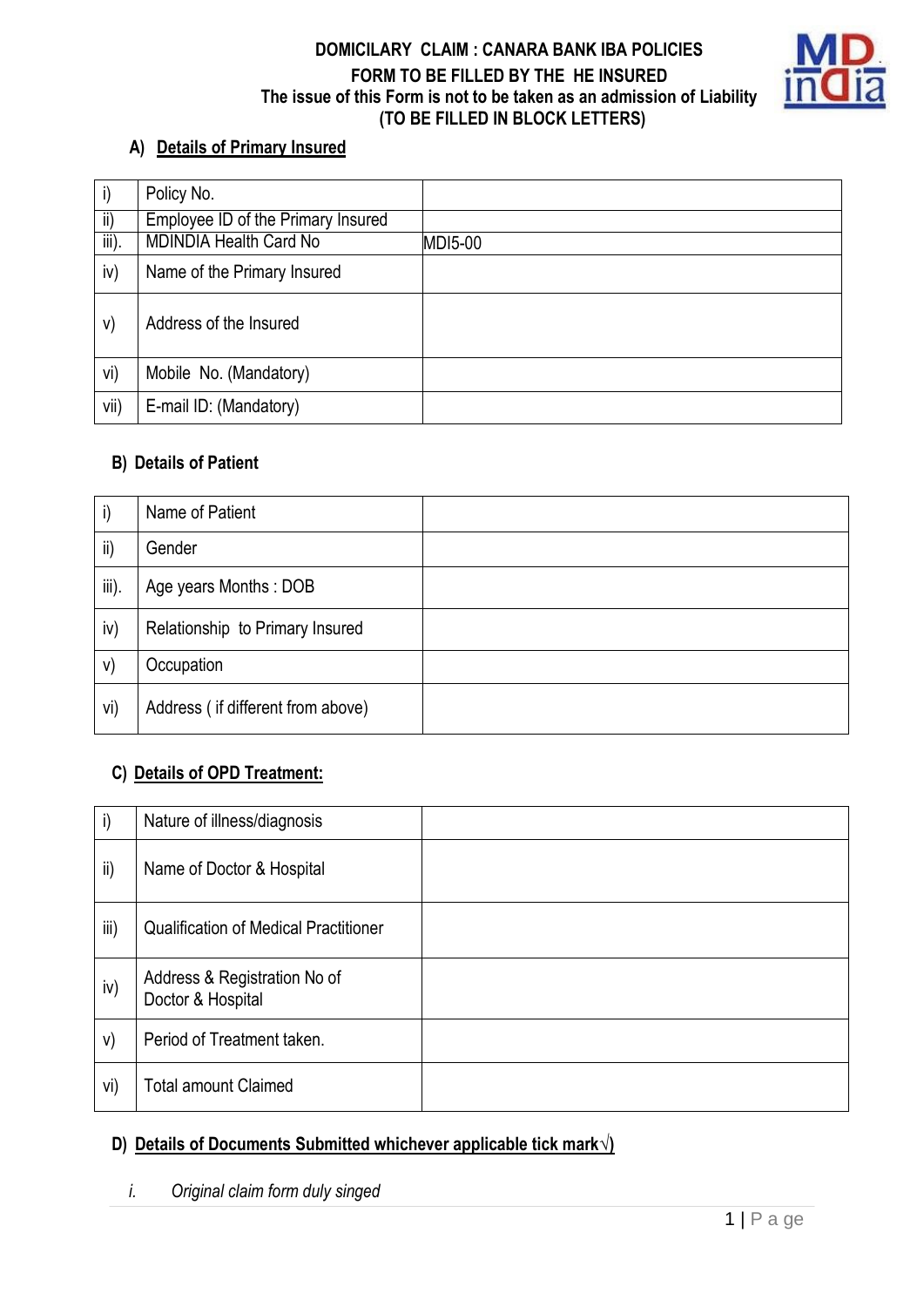### **DOMICILARY CLAIM : CANARA BANK IBA POLICIES FORM TO BE FILLED BY THE HE INSURED The issue of this Form is not to be taken as an admission of Liability (TO BE FILLED IN BLOCK LETTERS)**



# **A) Details of Primary Insured**

|                             | Policy No.                         |                |
|-----------------------------|------------------------------------|----------------|
| $\mathsf{ii}$               | Employee ID of the Primary Insured |                |
| $\overline{\mathsf{iii}}$ . | <b>MDINDIA Health Card No</b>      | <b>MDI5-00</b> |
| iv)                         | Name of the Primary Insured        |                |
| V)                          | Address of the Insured             |                |
| vi)                         | Mobile No. (Mandatory)             |                |
| vii)                        | E-mail ID: (Mandatory)             |                |

#### **B) Details of Patient**

| i)       | Name of Patient                   |  |
|----------|-----------------------------------|--|
| ii)      | Gender                            |  |
| $iii)$ . | Age years Months: DOB             |  |
| iv)      | Relationship to Primary Insured   |  |
| V)       | Occupation                        |  |
| vi)      | Address (if different from above) |  |

# **C) Details of OPD Treatment:**

| $\mathsf{i}$ | Nature of illness/diagnosis                       |  |
|--------------|---------------------------------------------------|--|
| ii)          | Name of Doctor & Hospital                         |  |
| iii)         | <b>Qualification of Medical Practitioner</b>      |  |
| iv)          | Address & Registration No of<br>Doctor & Hospital |  |
| V)           | Period of Treatment taken.                        |  |
| vi)          | <b>Total amount Claimed</b>                       |  |

# **D) Details of Documents Submitted whichever applicable tick mark√)**

# *i. Original claim form duly singed*